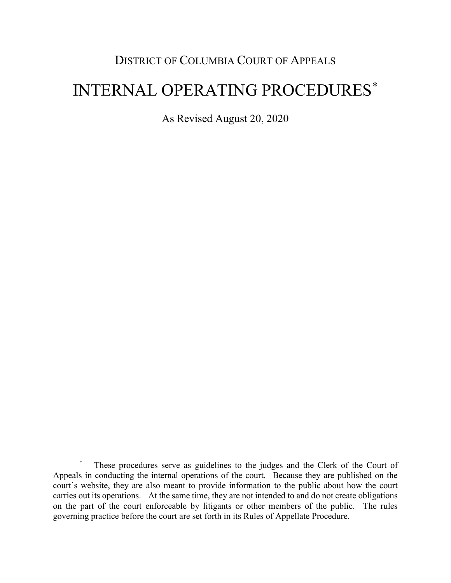# DISTRICT OF COLUMBIA COURT OF APPEALS

# INTERNAL OPERATING PROCEDURES\*

As Revised August 20, 2020

 <sup>\*</sup> These procedures serve as guidelines to the judges and the Clerk of the Court of Appeals in conducting the internal operations of the court. Because they are published on the court's website, they are also meant to provide information to the public about how the court carries out its operations. At the same time, they are not intended to and do not create obligations on the part of the court enforceable by litigants or other members of the public. The rules governing practice before the court are set forth in its Rules of Appellate Procedure.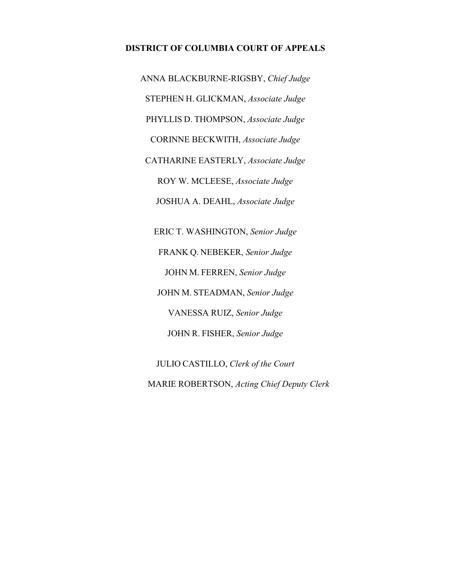# **DISTRICT OF COLUMBIA COURT OF APPEALS**

ANNA BLACKBURNE-RIGSBY, *Chief Judge* STEPHEN H. GLICKMAN, *Associate Judge* PHYLLIS D. THOMPSON, *Associate Judge* CORINNE BECKWITH, *Associate Judge* CATHARINE EASTERLY, *Associate Judge* ROY W. MCLEESE, *Associate Judge* JOSHUA A. DEAHL, *Associate Judge* ERIC T. WASHINGTON, *Senior Judge*

FRANK Q. NEBEKER, *Senior Judge* JOHN M. FERREN, *Senior Judge* JOHN M. STEADMAN, *Senior Judge* VANESSA RUIZ, *Senior Judge* JOHN R. FISHER, *Senior Judge*

JULIO CASTILLO, *Clerk of the Court* MARIE ROBERTSON, *Acting Chief Deputy Clerk*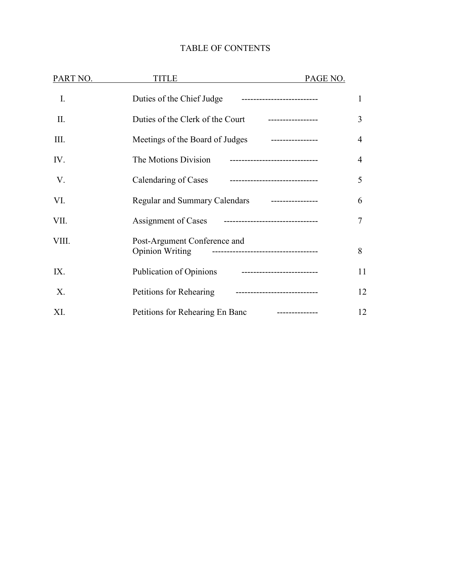# TABLE OF CONTENTS

| PART NO. | PAGE NO.<br>TITLE                                                                             |                |
|----------|-----------------------------------------------------------------------------------------------|----------------|
| Ι.       | Duties of the Chief Judge<br>---------------------------                                      | 1              |
| II.      | Duties of the Clerk of the Court<br>-----------------                                         | 3              |
| III.     | Meetings of the Board of Judges<br>__________________                                         | $\overline{4}$ |
| IV.      | The Motions Division<br>------------------------------                                        | 4              |
| V.       | Calendaring of Cases<br>------------------------------                                        | 5              |
| VI.      | Regular and Summary Calendars ----------------                                                | 6              |
| VII.     | Assignment of Cases<br>--------------------------------                                       | $\tau$         |
| VIII.    | Post-Argument Conference and<br><b>Opinion Writing</b><br>----------------------------------- | 8              |
| IX.      | Publication of Opinions<br>---------------------------                                        | 11             |
| Χ.       | Petitions for Rehearing<br>----------------------------                                       | 12             |
| XI.      | Petitions for Rehearing En Banc<br>--------------                                             | 12             |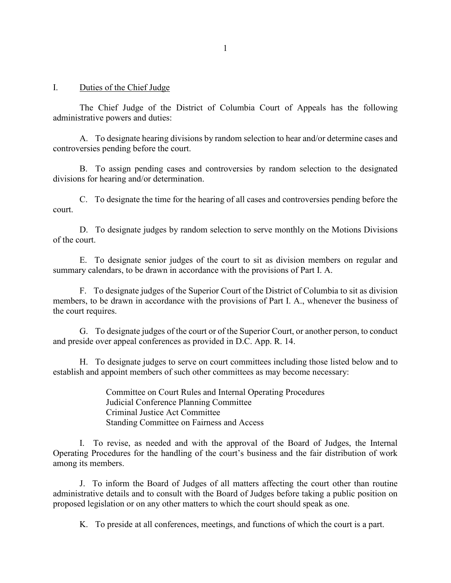#### I. Duties of the Chief Judge

The Chief Judge of the District of Columbia Court of Appeals has the following administrative powers and duties:

A. To designate hearing divisions by random selection to hear and/or determine cases and controversies pending before the court.

B. To assign pending cases and controversies by random selection to the designated divisions for hearing and/or determination.

C. To designate the time for the hearing of all cases and controversies pending before the court.

D. To designate judges by random selection to serve monthly on the Motions Divisions of the court.

E. To designate senior judges of the court to sit as division members on regular and summary calendars, to be drawn in accordance with the provisions of Part I. A.

F. To designate judges of the Superior Court of the District of Columbia to sit as division members, to be drawn in accordance with the provisions of Part I. A., whenever the business of the court requires.

G. To designate judges of the court or of the Superior Court, or another person, to conduct and preside over appeal conferences as provided in D.C. App. R. 14.

H. To designate judges to serve on court committees including those listed below and to establish and appoint members of such other committees as may become necessary:

> Committee on Court Rules and Internal Operating Procedures Judicial Conference Planning Committee Criminal Justice Act Committee Standing Committee on Fairness and Access

I. To revise, as needed and with the approval of the Board of Judges, the Internal Operating Procedures for the handling of the court's business and the fair distribution of work among its members.

J. To inform the Board of Judges of all matters affecting the court other than routine administrative details and to consult with the Board of Judges before taking a public position on proposed legislation or on any other matters to which the court should speak as one.

K. To preside at all conferences, meetings, and functions of which the court is a part.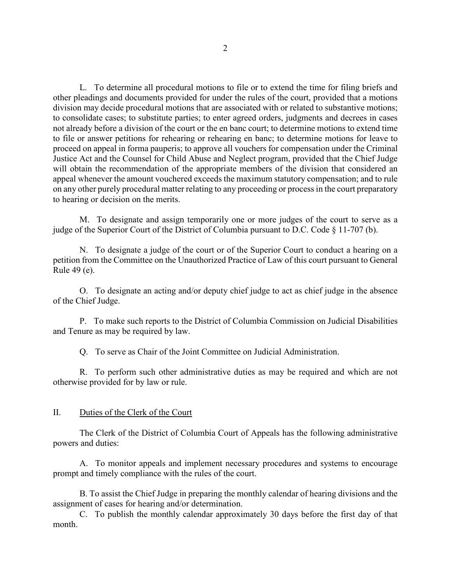L. To determine all procedural motions to file or to extend the time for filing briefs and other pleadings and documents provided for under the rules of the court, provided that a motions division may decide procedural motions that are associated with or related to substantive motions; to consolidate cases; to substitute parties; to enter agreed orders, judgments and decrees in cases not already before a division of the court or the en banc court; to determine motions to extend time to file or answer petitions for rehearing or rehearing en banc; to determine motions for leave to proceed on appeal in forma pauperis; to approve all vouchers for compensation under the Criminal Justice Act and the Counsel for Child Abuse and Neglect program, provided that the Chief Judge will obtain the recommendation of the appropriate members of the division that considered an appeal whenever the amount vouchered exceeds the maximum statutory compensation; and to rule on any other purely procedural matter relating to any proceeding or process in the court preparatory to hearing or decision on the merits.

M. To designate and assign temporarily one or more judges of the court to serve as a judge of the Superior Court of the District of Columbia pursuant to D.C. Code § 11-707 (b).

N. To designate a judge of the court or of the Superior Court to conduct a hearing on a petition from the Committee on the Unauthorized Practice of Law of this court pursuant to General Rule 49 (e).

O. To designate an acting and/or deputy chief judge to act as chief judge in the absence of the Chief Judge.

P. To make such reports to the District of Columbia Commission on Judicial Disabilities and Tenure as may be required by law.

Q. To serve as Chair of the Joint Committee on Judicial Administration.

R. To perform such other administrative duties as may be required and which are not otherwise provided for by law or rule.

#### II. Duties of the Clerk of the Court

The Clerk of the District of Columbia Court of Appeals has the following administrative powers and duties:

A. To monitor appeals and implement necessary procedures and systems to encourage prompt and timely compliance with the rules of the court.

B. To assist the Chief Judge in preparing the monthly calendar of hearing divisions and the assignment of cases for hearing and/or determination.

C. To publish the monthly calendar approximately 30 days before the first day of that month.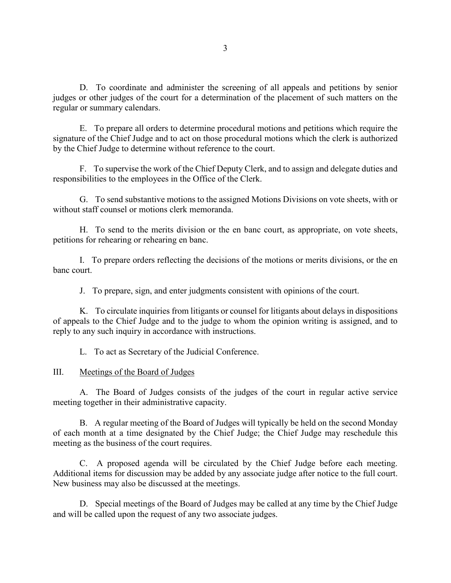D. To coordinate and administer the screening of all appeals and petitions by senior judges or other judges of the court for a determination of the placement of such matters on the regular or summary calendars.

E. To prepare all orders to determine procedural motions and petitions which require the signature of the Chief Judge and to act on those procedural motions which the clerk is authorized by the Chief Judge to determine without reference to the court.

F. To supervise the work of the Chief Deputy Clerk, and to assign and delegate duties and responsibilities to the employees in the Office of the Clerk.

G. To send substantive motions to the assigned Motions Divisions on vote sheets, with or without staff counsel or motions clerk memoranda.

H. To send to the merits division or the en banc court, as appropriate, on vote sheets, petitions for rehearing or rehearing en banc.

I. To prepare orders reflecting the decisions of the motions or merits divisions, or the en banc court.

J. To prepare, sign, and enter judgments consistent with opinions of the court.

K. To circulate inquiries from litigants or counsel for litigants about delays in dispositions of appeals to the Chief Judge and to the judge to whom the opinion writing is assigned, and to reply to any such inquiry in accordance with instructions.

L. To act as Secretary of the Judicial Conference.

III. Meetings of the Board of Judges

A. The Board of Judges consists of the judges of the court in regular active service meeting together in their administrative capacity.

B. A regular meeting of the Board of Judges will typically be held on the second Monday of each month at a time designated by the Chief Judge; the Chief Judge may reschedule this meeting as the business of the court requires.

C. A proposed agenda will be circulated by the Chief Judge before each meeting. Additional items for discussion may be added by any associate judge after notice to the full court. New business may also be discussed at the meetings.

D. Special meetings of the Board of Judges may be called at any time by the Chief Judge and will be called upon the request of any two associate judges.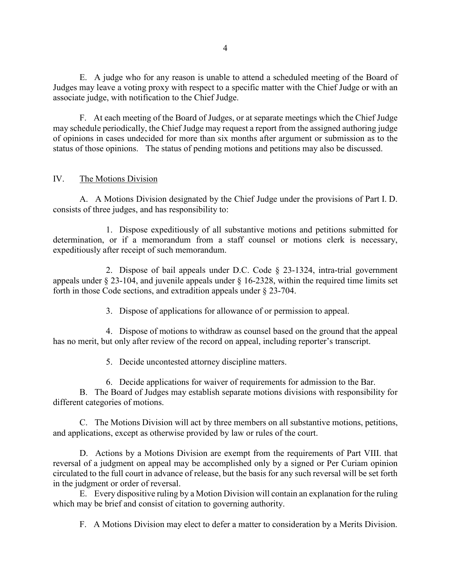E. A judge who for any reason is unable to attend a scheduled meeting of the Board of Judges may leave a voting proxy with respect to a specific matter with the Chief Judge or with an associate judge, with notification to the Chief Judge.

F. At each meeting of the Board of Judges, or at separate meetings which the Chief Judge may schedule periodically, the Chief Judge may request a report from the assigned authoring judge of opinions in cases undecided for more than six months after argument or submission as to the status of those opinions. The status of pending motions and petitions may also be discussed.

# IV. The Motions Division

A. A Motions Division designated by the Chief Judge under the provisions of Part I. D. consists of three judges, and has responsibility to:

1. Dispose expeditiously of all substantive motions and petitions submitted for determination, or if a memorandum from a staff counsel or motions clerk is necessary, expeditiously after receipt of such memorandum.

2. Dispose of bail appeals under D.C. Code § 23-1324, intra-trial government appeals under  $\S$  23-104, and juvenile appeals under  $\S$  16-2328, within the required time limits set forth in those Code sections, and extradition appeals under § 23-704.

3. Dispose of applications for allowance of or permission to appeal.

4. Dispose of motions to withdraw as counsel based on the ground that the appeal has no merit, but only after review of the record on appeal, including reporter's transcript.

5. Decide uncontested attorney discipline matters.

6. Decide applications for waiver of requirements for admission to the Bar.

B. The Board of Judges may establish separate motions divisions with responsibility for different categories of motions.

C. The Motions Division will act by three members on all substantive motions, petitions, and applications, except as otherwise provided by law or rules of the court.

D. Actions by a Motions Division are exempt from the requirements of Part VIII. that reversal of a judgment on appeal may be accomplished only by a signed or Per Curiam opinion circulated to the full court in advance of release, but the basis for any such reversal will be set forth in the judgment or order of reversal.

E. Every dispositive ruling by a Motion Division will contain an explanation for the ruling which may be brief and consist of citation to governing authority.

F. A Motions Division may elect to defer a matter to consideration by a Merits Division.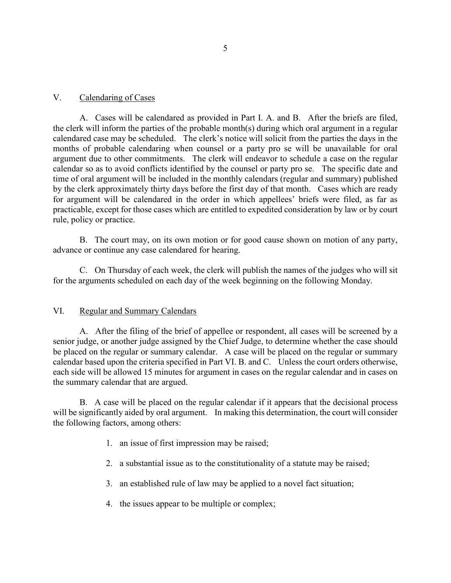#### V. Calendaring of Cases

A. Cases will be calendared as provided in Part I. A. and B. After the briefs are filed, the clerk will inform the parties of the probable month(s) during which oral argument in a regular calendared case may be scheduled. The clerk's notice will solicit from the parties the days in the months of probable calendaring when counsel or a party pro se will be unavailable for oral argument due to other commitments. The clerk will endeavor to schedule a case on the regular calendar so as to avoid conflicts identified by the counsel or party pro se. The specific date and time of oral argument will be included in the monthly calendars (regular and summary) published by the clerk approximately thirty days before the first day of that month. Cases which are ready for argument will be calendared in the order in which appellees' briefs were filed, as far as practicable, except for those cases which are entitled to expedited consideration by law or by court rule, policy or practice.

B. The court may, on its own motion or for good cause shown on motion of any party, advance or continue any case calendared for hearing.

C. On Thursday of each week, the clerk will publish the names of the judges who will sit for the arguments scheduled on each day of the week beginning on the following Monday.

#### VI. Regular and Summary Calendars

A. After the filing of the brief of appellee or respondent, all cases will be screened by a senior judge, or another judge assigned by the Chief Judge, to determine whether the case should be placed on the regular or summary calendar. A case will be placed on the regular or summary calendar based upon the criteria specified in Part VI. B. and C. Unless the court orders otherwise, each side will be allowed 15 minutes for argument in cases on the regular calendar and in cases on the summary calendar that are argued.

B. A case will be placed on the regular calendar if it appears that the decisional process will be significantly aided by oral argument. In making this determination, the court will consider the following factors, among others:

- 1. an issue of first impression may be raised;
- 2. a substantial issue as to the constitutionality of a statute may be raised;
- 3. an established rule of law may be applied to a novel fact situation;
- 4. the issues appear to be multiple or complex;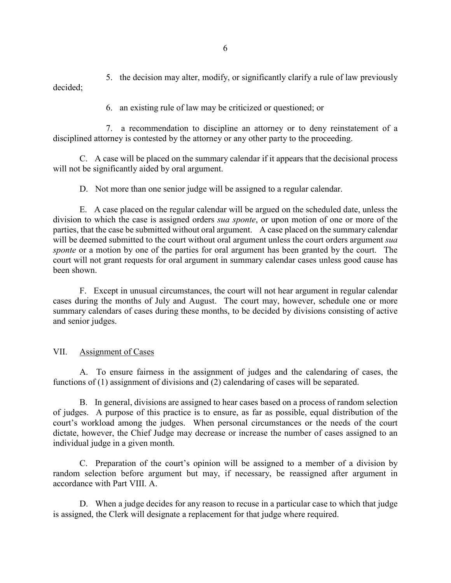5. the decision may alter, modify, or significantly clarify a rule of law previously decided;

6. an existing rule of law may be criticized or questioned; or

7. a recommendation to discipline an attorney or to deny reinstatement of a disciplined attorney is contested by the attorney or any other party to the proceeding.

C. A case will be placed on the summary calendar if it appears that the decisional process will not be significantly aided by oral argument.

D. Not more than one senior judge will be assigned to a regular calendar.

E. A case placed on the regular calendar will be argued on the scheduled date, unless the division to which the case is assigned orders *sua sponte*, or upon motion of one or more of the parties, that the case be submitted without oral argument. A case placed on the summary calendar will be deemed submitted to the court without oral argument unless the court orders argument *sua sponte* or a motion by one of the parties for oral argument has been granted by the court. The court will not grant requests for oral argument in summary calendar cases unless good cause has been shown.

F. Except in unusual circumstances, the court will not hear argument in regular calendar cases during the months of July and August. The court may, however, schedule one or more summary calendars of cases during these months, to be decided by divisions consisting of active and senior judges.

### VII. Assignment of Cases

A. To ensure fairness in the assignment of judges and the calendaring of cases, the functions of (1) assignment of divisions and (2) calendaring of cases will be separated.

B. In general, divisions are assigned to hear cases based on a process of random selection of judges. A purpose of this practice is to ensure, as far as possible, equal distribution of the court's workload among the judges. When personal circumstances or the needs of the court dictate, however, the Chief Judge may decrease or increase the number of cases assigned to an individual judge in a given month.

C. Preparation of the court's opinion will be assigned to a member of a division by random selection before argument but may, if necessary, be reassigned after argument in accordance with Part VIII. A.

D. When a judge decides for any reason to recuse in a particular case to which that judge is assigned, the Clerk will designate a replacement for that judge where required.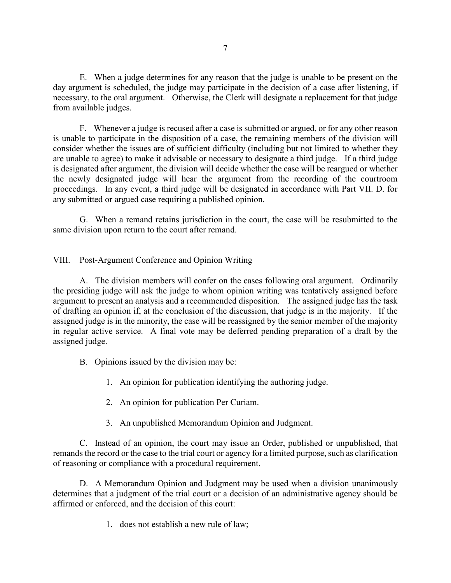E. When a judge determines for any reason that the judge is unable to be present on the day argument is scheduled, the judge may participate in the decision of a case after listening, if necessary, to the oral argument. Otherwise, the Clerk will designate a replacement for that judge from available judges.

F. Whenever a judge is recused after a case is submitted or argued, or for any other reason is unable to participate in the disposition of a case, the remaining members of the division will consider whether the issues are of sufficient difficulty (including but not limited to whether they are unable to agree) to make it advisable or necessary to designate a third judge. If a third judge is designated after argument, the division will decide whether the case will be reargued or whether the newly designated judge will hear the argument from the recording of the courtroom proceedings. In any event, a third judge will be designated in accordance with Part VII. D. for any submitted or argued case requiring a published opinion.

G. When a remand retains jurisdiction in the court, the case will be resubmitted to the same division upon return to the court after remand.

### VIII. Post-Argument Conference and Opinion Writing

A. The division members will confer on the cases following oral argument. Ordinarily the presiding judge will ask the judge to whom opinion writing was tentatively assigned before argument to present an analysis and a recommended disposition. The assigned judge has the task of drafting an opinion if, at the conclusion of the discussion, that judge is in the majority. If the assigned judge is in the minority, the case will be reassigned by the senior member of the majority in regular active service. A final vote may be deferred pending preparation of a draft by the assigned judge.

- B. Opinions issued by the division may be:
	- 1. An opinion for publication identifying the authoring judge.
	- 2. An opinion for publication Per Curiam.
	- 3. An unpublished Memorandum Opinion and Judgment.

C. Instead of an opinion, the court may issue an Order, published or unpublished, that remands the record or the case to the trial court or agency for a limited purpose, such as clarification of reasoning or compliance with a procedural requirement.

D. A Memorandum Opinion and Judgment may be used when a division unanimously determines that a judgment of the trial court or a decision of an administrative agency should be affirmed or enforced, and the decision of this court:

1. does not establish a new rule of law;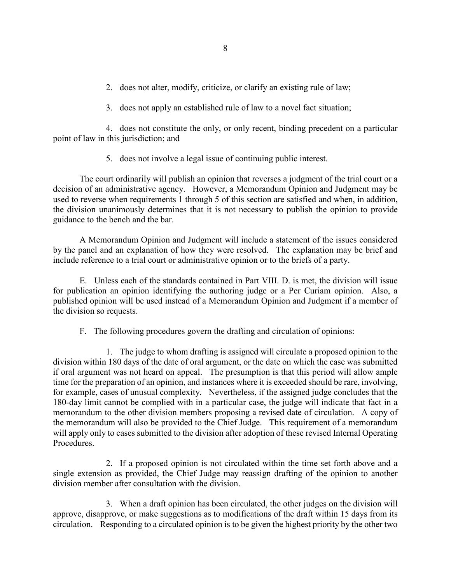- 2. does not alter, modify, criticize, or clarify an existing rule of law;
- 3. does not apply an established rule of law to a novel fact situation;

4. does not constitute the only, or only recent, binding precedent on a particular point of law in this jurisdiction; and

5. does not involve a legal issue of continuing public interest.

The court ordinarily will publish an opinion that reverses a judgment of the trial court or a decision of an administrative agency. However, a Memorandum Opinion and Judgment may be used to reverse when requirements 1 through 5 of this section are satisfied and when, in addition, the division unanimously determines that it is not necessary to publish the opinion to provide guidance to the bench and the bar.

A Memorandum Opinion and Judgment will include a statement of the issues considered by the panel and an explanation of how they were resolved. The explanation may be brief and include reference to a trial court or administrative opinion or to the briefs of a party.

E. Unless each of the standards contained in Part VIII. D. is met, the division will issue for publication an opinion identifying the authoring judge or a Per Curiam opinion. Also, a published opinion will be used instead of a Memorandum Opinion and Judgment if a member of the division so requests.

F. The following procedures govern the drafting and circulation of opinions:

1. The judge to whom drafting is assigned will circulate a proposed opinion to the division within 180 days of the date of oral argument, or the date on which the case was submitted if oral argument was not heard on appeal. The presumption is that this period will allow ample time for the preparation of an opinion, and instances where it is exceeded should be rare, involving, for example, cases of unusual complexity. Nevertheless, if the assigned judge concludes that the 180-day limit cannot be complied with in a particular case, the judge will indicate that fact in a memorandum to the other division members proposing a revised date of circulation. A copy of the memorandum will also be provided to the Chief Judge. This requirement of a memorandum will apply only to cases submitted to the division after adoption of these revised Internal Operating Procedures.

2. If a proposed opinion is not circulated within the time set forth above and a single extension as provided, the Chief Judge may reassign drafting of the opinion to another division member after consultation with the division.

3. When a draft opinion has been circulated, the other judges on the division will approve, disapprove, or make suggestions as to modifications of the draft within 15 days from its circulation. Responding to a circulated opinion is to be given the highest priority by the other two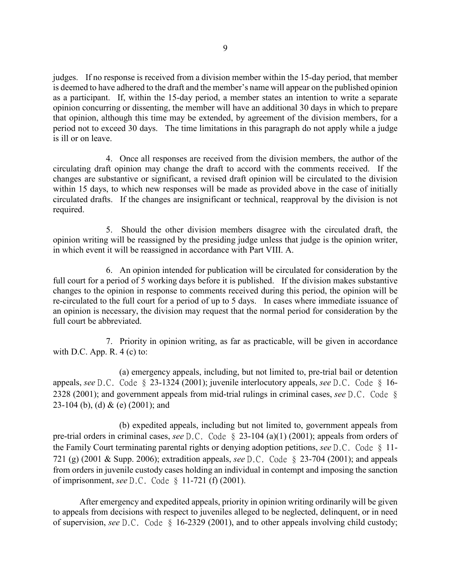judges. If no response is received from a division member within the 15-day period, that member is deemed to have adhered to the draft and the member's name will appear on the published opinion as a participant. If, within the 15-day period, a member states an intention to write a separate opinion concurring or dissenting, the member will have an additional 30 days in which to prepare that opinion, although this time may be extended, by agreement of the division members, for a period not to exceed 30 days. The time limitations in this paragraph do not apply while a judge is ill or on leave.

4. Once all responses are received from the division members, the author of the circulating draft opinion may change the draft to accord with the comments received. If the changes are substantive or significant, a revised draft opinion will be circulated to the division within 15 days, to which new responses will be made as provided above in the case of initially circulated drafts. If the changes are insignificant or technical, reapproval by the division is not required.

5. Should the other division members disagree with the circulated draft, the opinion writing will be reassigned by the presiding judge unless that judge is the opinion writer, in which event it will be reassigned in accordance with Part VIII. A.

6. An opinion intended for publication will be circulated for consideration by the full court for a period of 5 working days before it is published. If the division makes substantive changes to the opinion in response to comments received during this period, the opinion will be re-circulated to the full court for a period of up to 5 days. In cases where immediate issuance of an opinion is necessary, the division may request that the normal period for consideration by the full court be abbreviated.

7. Priority in opinion writing, as far as practicable, will be given in accordance with D.C. App. R.  $4$  (c) to:

(a) emergency appeals, including, but not limited to, pre-trial bail or detention appeals, *see* D.C. Code § 23-1324 (2001); juvenile interlocutory appeals, *see* D.C. Code § 16- 2328 (2001); and government appeals from mid-trial rulings in criminal cases, *see* D.C. Code § 23-104 (b), (d) & (e) (2001); and

(b) expedited appeals, including but not limited to, government appeals from pre-trial orders in criminal cases, *see* D.C. Code § 23-104 (a)(1) (2001); appeals from orders of the Family Court terminating parental rights or denying adoption petitions, *see* D.C. Code § 11- 721 (g) (2001 & Supp. 2006); extradition appeals, *see* D.C. Code § 23-704 (2001); and appeals from orders in juvenile custody cases holding an individual in contempt and imposing the sanction of imprisonment, *see* D.C. Code § 11-721 (f) (2001).

After emergency and expedited appeals, priority in opinion writing ordinarily will be given to appeals from decisions with respect to juveniles alleged to be neglected, delinquent, or in need of supervision, *see* D.C. Code § 16-2329 (2001), and to other appeals involving child custody;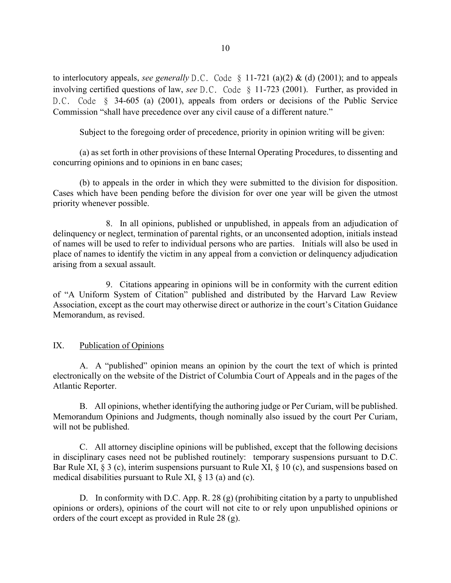to interlocutory appeals, *see generally* D.C. Code § 11-721 (a)(2) & (d) (2001); and to appeals involving certified questions of law, *see* D.C. Code § 11-723 (2001). Further, as provided in D.C. Code § 34-605 (a) (2001), appeals from orders or decisions of the Public Service Commission "shall have precedence over any civil cause of a different nature."

Subject to the foregoing order of precedence, priority in opinion writing will be given:

(a) as set forth in other provisions of these Internal Operating Procedures, to dissenting and concurring opinions and to opinions in en banc cases;

(b) to appeals in the order in which they were submitted to the division for disposition. Cases which have been pending before the division for over one year will be given the utmost priority whenever possible.

8. In all opinions, published or unpublished, in appeals from an adjudication of delinquency or neglect, termination of parental rights, or an unconsented adoption, initials instead of names will be used to refer to individual persons who are parties. Initials will also be used in place of names to identify the victim in any appeal from a conviction or delinquency adjudication arising from a sexual assault.

9. Citations appearing in opinions will be in conformity with the current edition of "A Uniform System of Citation" published and distributed by the Harvard Law Review Association, except as the court may otherwise direct or authorize in the court's Citation Guidance Memorandum, as revised.

## IX. Publication of Opinions

A. A "published" opinion means an opinion by the court the text of which is printed electronically on the website of the District of Columbia Court of Appeals and in the pages of the Atlantic Reporter.

B. All opinions, whether identifying the authoring judge or Per Curiam, will be published. Memorandum Opinions and Judgments, though nominally also issued by the court Per Curiam, will not be published.

C. All attorney discipline opinions will be published, except that the following decisions in disciplinary cases need not be published routinely: temporary suspensions pursuant to D.C. Bar Rule XI, § 3 (c), interim suspensions pursuant to Rule XI, § 10 (c), and suspensions based on medical disabilities pursuant to Rule XI, § 13 (a) and (c).

D. In conformity with D.C. App. R. 28 (g) (prohibiting citation by a party to unpublished opinions or orders), opinions of the court will not cite to or rely upon unpublished opinions or orders of the court except as provided in Rule 28 (g).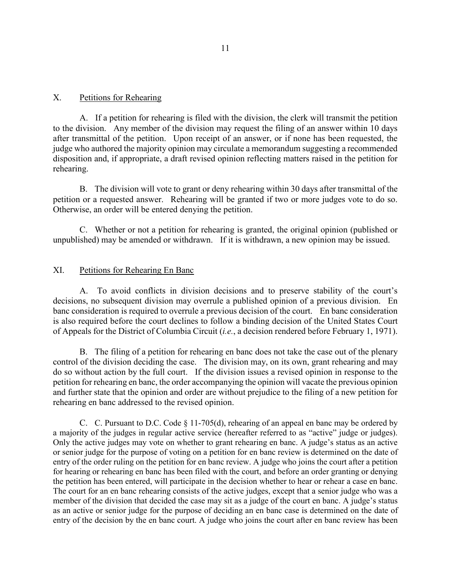#### X. Petitions for Rehearing

A. If a petition for rehearing is filed with the division, the clerk will transmit the petition to the division. Any member of the division may request the filing of an answer within 10 days after transmittal of the petition. Upon receipt of an answer, or if none has been requested, the judge who authored the majority opinion may circulate a memorandum suggesting a recommended disposition and, if appropriate, a draft revised opinion reflecting matters raised in the petition for rehearing.

B. The division will vote to grant or deny rehearing within 30 days after transmittal of the petition or a requested answer. Rehearing will be granted if two or more judges vote to do so. Otherwise, an order will be entered denying the petition.

C. Whether or not a petition for rehearing is granted, the original opinion (published or unpublished) may be amended or withdrawn. If it is withdrawn, a new opinion may be issued.

#### XI. Petitions for Rehearing En Banc

A. To avoid conflicts in division decisions and to preserve stability of the court's decisions, no subsequent division may overrule a published opinion of a previous division. En banc consideration is required to overrule a previous decision of the court. En banc consideration is also required before the court declines to follow a binding decision of the United States Court of Appeals for the District of Columbia Circuit (*i.e.*, a decision rendered before February 1, 1971).

B. The filing of a petition for rehearing en banc does not take the case out of the plenary control of the division deciding the case. The division may, on its own, grant rehearing and may do so without action by the full court. If the division issues a revised opinion in response to the petition for rehearing en banc, the order accompanying the opinion will vacate the previous opinion and further state that the opinion and order are without prejudice to the filing of a new petition for rehearing en banc addressed to the revised opinion.

C. C. Pursuant to D.C. Code § 11-705(d), rehearing of an appeal en banc may be ordered by a majority of the judges in regular active service (hereafter referred to as "active" judge or judges). Only the active judges may vote on whether to grant rehearing en banc. A judge's status as an active or senior judge for the purpose of voting on a petition for en banc review is determined on the date of entry of the order ruling on the petition for en banc review. A judge who joins the court after a petition for hearing or rehearing en banc has been filed with the court, and before an order granting or denying the petition has been entered, will participate in the decision whether to hear or rehear a case en banc. The court for an en banc rehearing consists of the active judges, except that a senior judge who was a member of the division that decided the case may sit as a judge of the court en banc. A judge's status as an active or senior judge for the purpose of deciding an en banc case is determined on the date of entry of the decision by the en banc court. A judge who joins the court after en banc review has been